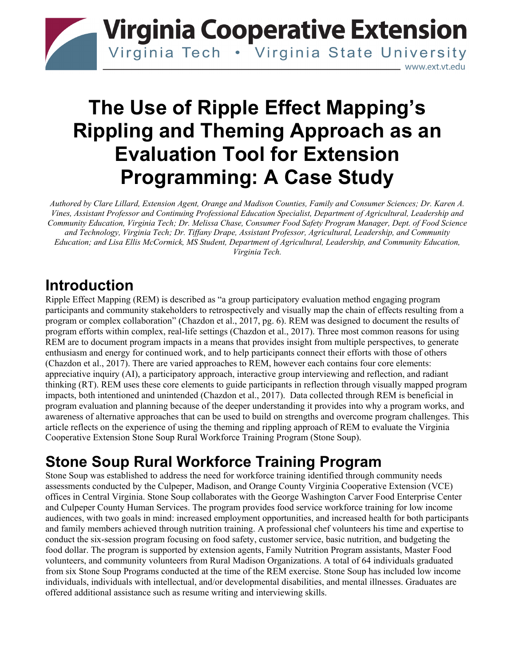

# **The Use of Ripple Effect Mapping's Rippling and Theming Approach as an Evaluation Tool for Extension Programming: A Case Study**

*Authored by Clare Lillard, Extension Agent, Orange and Madison Counties, Family and Consumer Sciences; Dr. Karen A. Vines, Assistant Professor and Continuing Professional Education Specialist, Department of Agricultural, Leadership and Community Education, Virginia Tech; Dr. Melissa Chase, Consumer Food Safety Program Manager, Dept. of Food Science and Technology, Virginia Tech; Dr. Tiffany Drape, Assistant Professor, Agricultural, Leadership, and Community Education; and Lisa Ellis McCormick, MS Student, Department of Agricultural, Leadership, and Community Education, Virginia Tech.* 

#### **Introduction**

Ripple Effect Mapping (REM) is described as "a group participatory evaluation method engaging program participants and community stakeholders to retrospectively and visually map the chain of effects resulting from a program or complex collaboration" (Chazdon et al., 2017, pg. 6). REM was designed to document the results of program efforts within complex, real-life settings (Chazdon et al., 2017). Three most common reasons for using REM are to document program impacts in a means that provides insight from multiple perspectives, to generate enthusiasm and energy for continued work, and to help participants connect their efforts with those of others (Chazdon et al., 2017). There are varied approaches to REM, however each contains four core elements: appreciative inquiry (AI), a participatory approach, interactive group interviewing and reflection, and radiant thinking (RT). REM uses these core elements to guide participants in reflection through visually mapped program impacts, both intentioned and unintended (Chazdon et al., 2017). Data collected through REM is beneficial in program evaluation and planning because of the deeper understanding it provides into why a program works, and awareness of alternative approaches that can be used to build on strengths and overcome program challenges. This article reflects on the experience of using the theming and rippling approach of REM to evaluate the Virginia Cooperative Extension Stone Soup Rural Workforce Training Program (Stone Soup).

## **Stone Soup Rural Workforce Training Program**

Stone Soup was established to address the need for workforce training identified through community needs assessments conducted by the Culpeper, Madison, and Orange County Virginia Cooperative Extension (VCE) offices in Central Virginia. Stone Soup collaborates with the George Washington Carver Food Enterprise Center and Culpeper County Human Services. The program provides food service workforce training for low income audiences, with two goals in mind: increased employment opportunities, and increased health for both participants and family members achieved through nutrition training. A professional chef volunteers his time and expertise to conduct the six-session program focusing on food safety, customer service, basic nutrition, and budgeting the food dollar. The program is supported by extension agents, Family Nutrition Program assistants, Master Food volunteers, and community volunteers from Rural Madison Organizations. A total of 64 individuals graduated from six Stone Soup Programs conducted at the time of the REM exercise. Stone Soup has included low income individuals, individuals with intellectual, and/or developmental disabilities, and mental illnesses. Graduates are offered additional assistance such as resume writing and interviewing skills.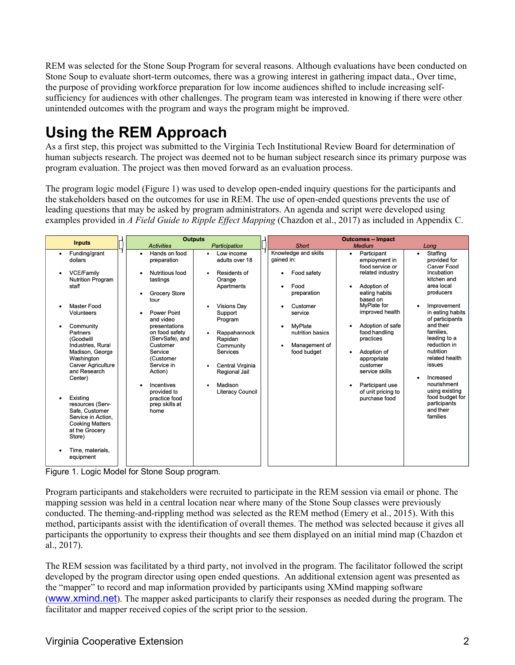REM was selected for the Stone Soup Program for several reasons. Although evaluations have been conducted on Stone Soup to evaluate short-term outcomes, there was a growing interest in gathering impact data., Over time, the purpose of providing workforce preparation for low income audiences shifted to include increasing selfsufficiency for audiences with other challenges. The program team was interested in knowing if there were other unintended outcomes with the program and ways the program might be improved.

# **Using the REM Approach**

As a first step, this project was submitted to the Virginia Tech Institutional Review Board for determination of human subjects research. The project was deemed not to be human subject research since its primary purpose was program evaluation. The project was then moved forward as an evaluation process.

The program logic model (Figure 1) was used to develop open-ended inquiry questions for the participants and the stakeholders based on the outcomes for use in REM. The use of open-ended questions prevents the use of leading questions that may be asked by program administrators. An agenda and script were developed using examples provided in *A Field Guide to Ripple Effect Mapping* (Chazdon et al., 2017) as included in Appendix C.

Figure 1. Logic Model for Stone Soup program.

Program participants and stakeholders were recruited to participate in the REM session via email or phone. The mapping session was held in a central location near where many of the Stone Soup classes were previously conducted. The theming-and-rippling method was selected as the REM method (Emery et al., 2015). With this method, participants assist with the identification of overall themes. The method was selected because it gives all participants the opportunity to express their thoughts and see them displayed on an initial mind map (Chazdon et al., 2017).

The REM session was facilitated by a third party, not involved in the program. The facilitator followed the script developed by the program director using open ended questions. An additional extension agent was presented as the "mapper" to record and map information provided by participants using XMind mapping software ([www.xmind.net](http://www.xmind.net/)). The mapper asked participants to clarify their responses as needed during the program. The facilitator and mapper received copies of the script prior to the session.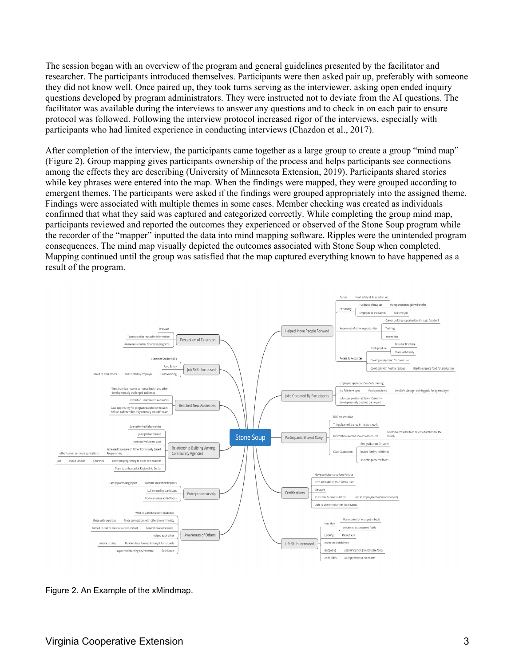The session began with an overview of the program and general guidelines presented by the facilitator and researcher. The participants introduced themselves. Participants were then asked pair up, preferably with someone they did not know well. Once paired up, they took turns serving as the interviewer, asking open ended inquiry questions developed by program administrators. They were instructed not to deviate from the AI questions. The facilitator was available during the interviews to answer any questions and to check in on each pair to ensure protocol was followed. Following the interview protocol increased rigor of the interviews, especially with participants who had limited experience in conducting interviews (Chazdon et al., 2017).

After completion of the interview, the participants came together as a large group to create a group "mind map" (Figure 2). Group mapping gives participants ownership of the process and helps participants see connections among the effects they are describing (University of Minnesota Extension, 2019). Participants shared stories while key phrases were entered into the map. When the findings were mapped, they were grouped according to emergent themes. The participants were asked if the findings were grouped appropriately into the assigned theme. Findings were associated with multiple themes in some cases. Member checking was created as individuals confirmed that what they said was captured and categorized correctly. While completing the group mind map, participants reviewed and reported the outcomes they experienced or observed of the Stone Soup program while the recorder of the "mapper" inputted the data into mind mapping software. Ripples were the unintended program consequences. The mind map visually depicted the outcomes associated with Stone Soup when completed. Mapping continued until the group was satisfied that the map captured everything known to have happened as a result of the program.



Figure 2. An Example of the xMindmap.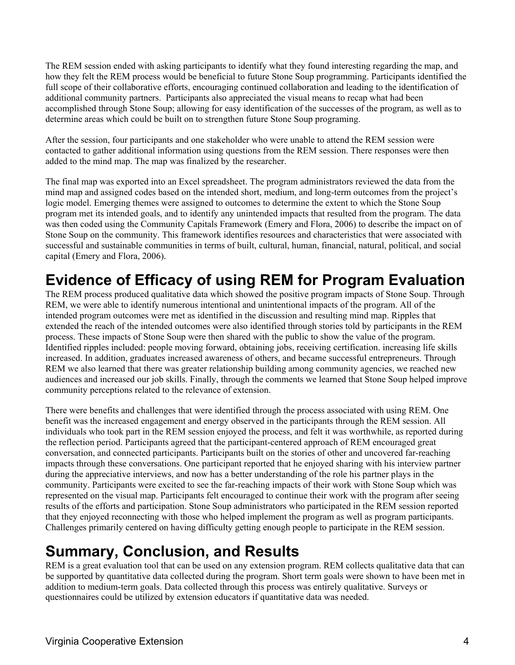The REM session ended with asking participants to identify what they found interesting regarding the map, and how they felt the REM process would be beneficial to future Stone Soup programming. Participants identified the full scope of their collaborative efforts, encouraging continued collaboration and leading to the identification of additional community partners. Participants also appreciated the visual means to recap what had been accomplished through Stone Soup; allowing for easy identification of the successes of the program, as well as to determine areas which could be built on to strengthen future Stone Soup programing.

After the session, four participants and one stakeholder who were unable to attend the REM session were contacted to gather additional information using questions from the REM session. There responses were then added to the mind map. The map was finalized by the researcher.

The final map was exported into an Excel spreadsheet. The program administrators reviewed the data from the mind map and assigned codes based on the intended short, medium, and long-term outcomes from the project's logic model. Emerging themes were assigned to outcomes to determine the extent to which the Stone Soup program met its intended goals, and to identify any unintended impacts that resulted from the program. The data was then coded using the Community Capitals Framework (Emery and Flora, 2006) to describe the impact on of Stone Soup on the community. This framework identifies resources and characteristics that were associated with successful and sustainable communities in terms of built, cultural, human, financial, natural, political, and social capital (Emery and Flora, 2006).

### **Evidence of Efficacy of using REM for Program Evaluation**

The REM process produced qualitative data which showed the positive program impacts of Stone Soup. Through REM, we were able to identify numerous intentional and unintentional impacts of the program. All of the intended program outcomes were met as identified in the discussion and resulting mind map. Ripples that extended the reach of the intended outcomes were also identified through stories told by participants in the REM process. These impacts of Stone Soup were then shared with the public to show the value of the program. Identified ripples included: people moving forward, obtaining jobs, receiving certification. increasing life skills increased. In addition, graduates increased awareness of others, and became successful entrepreneurs. Through REM we also learned that there was greater relationship building among community agencies, we reached new audiences and increased our job skills. Finally, through the comments we learned that Stone Soup helped improve community perceptions related to the relevance of extension.

There were benefits and challenges that were identified through the process associated with using REM. One benefit was the increased engagement and energy observed in the participants through the REM session. All individuals who took part in the REM session enjoyed the process, and felt it was worthwhile, as reported during the reflection period. Participants agreed that the participant-centered approach of REM encouraged great conversation, and connected participants. Participants built on the stories of other and uncovered far-reaching impacts through these conversations. One participant reported that he enjoyed sharing with his interview partner during the appreciative interviews, and now has a better understanding of the role his partner plays in the community. Participants were excited to see the far-reaching impacts of their work with Stone Soup which was represented on the visual map. Participants felt encouraged to continue their work with the program after seeing results of the efforts and participation. Stone Soup administrators who participated in the REM session reported that they enjoyed reconnecting with those who helped implement the program as well as program participants. Challenges primarily centered on having difficulty getting enough people to participate in the REM session.

# **Summary, Conclusion, and Results**

REM is a great evaluation tool that can be used on any extension program. REM collects qualitative data that can be supported by quantitative data collected during the program. Short term goals were shown to have been met in addition to medium-term goals. Data collected through this process was entirely qualitative. Surveys or questionnaires could be utilized by extension educators if quantitative data was needed.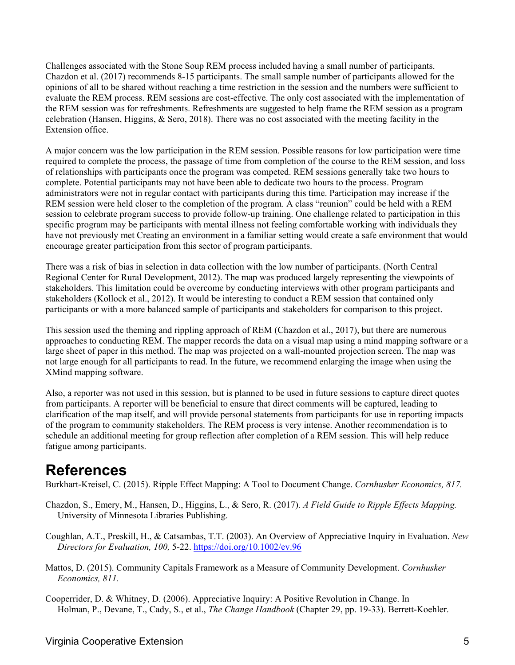Challenges associated with the Stone Soup REM process included having a small number of participants. Chazdon et al. (2017) recommends 8-15 participants. The small sample number of participants allowed for the opinions of all to be shared without reaching a time restriction in the session and the numbers were sufficient to evaluate the REM process. REM sessions are cost-effective. The only cost associated with the implementation of the REM session was for refreshments. Refreshments are suggested to help frame the REM session as a program celebration (Hansen, Higgins, & Sero, 2018). There was no cost associated with the meeting facility in the Extension office.

A major concern was the low participation in the REM session. Possible reasons for low participation were time required to complete the process, the passage of time from completion of the course to the REM session, and loss of relationships with participants once the program was competed. REM sessions generally take two hours to complete. Potential participants may not have been able to dedicate two hours to the process. Program administrators were not in regular contact with participants during this time. Participation may increase if the REM session were held closer to the completion of the program. A class "reunion" could be held with a REM session to celebrate program success to provide follow-up training. One challenge related to participation in this specific program may be participants with mental illness not feeling comfortable working with individuals they have not previously met Creating an environment in a familiar setting would create a safe environment that would encourage greater participation from this sector of program participants.

There was a risk of bias in selection in data collection with the low number of participants. (North Central Regional Center for Rural Development, 2012). The map was produced largely representing the viewpoints of stakeholders. This limitation could be overcome by conducting interviews with other program participants and stakeholders (Kollock et al., 2012). It would be interesting to conduct a REM session that contained only participants or with a more balanced sample of participants and stakeholders for comparison to this project.

This session used the theming and rippling approach of REM (Chazdon et al., 2017), but there are numerous approaches to conducting REM. The mapper records the data on a visual map using a mind mapping software or a large sheet of paper in this method. The map was projected on a wall-mounted projection screen. The map was not large enough for all participants to read. In the future, we recommend enlarging the image when using the XMind mapping software.

Also, a reporter was not used in this session, but is planned to be used in future sessions to capture direct quotes from participants. A reporter will be beneficial to ensure that direct comments will be captured, leading to clarification of the map itself, and will provide personal statements from participants for use in reporting impacts of the program to community stakeholders. The REM process is very intense. Another recommendation is to schedule an additional meeting for group reflection after completion of a REM session. This will help reduce fatigue among participants.

#### **References**

Burkhart-Kreisel, C. (2015). Ripple Effect Mapping: A Tool to Document Change. *Cornhusker Economics, 817.* 

- Chazdon, S., Emery, M., Hansen, D., Higgins, L., & Sero, R. (2017). *A Field Guide to Ripple Effects Mapping.*  University of Minnesota Libraries Publishing.
- Coughlan, A.T., Preskill, H., & Catsambas, T.T. (2003). An Overview of Appreciative Inquiry in Evaluation. *New Directors for Evaluation, 100,* 5-22.<https://doi.org/10.1002/ev.96>
- Mattos, D. (2015). Community Capitals Framework as a Measure of Community Development. *Cornhusker Economics, 811.*
- Cooperrider, D. & Whitney, D. (2006). Appreciative Inquiry: A Positive Revolution in Change. In Holman, P., Devane, T., Cady, S., et al., *The Change Handbook* (Chapter 29, pp. 19-33). Berrett-Koehler.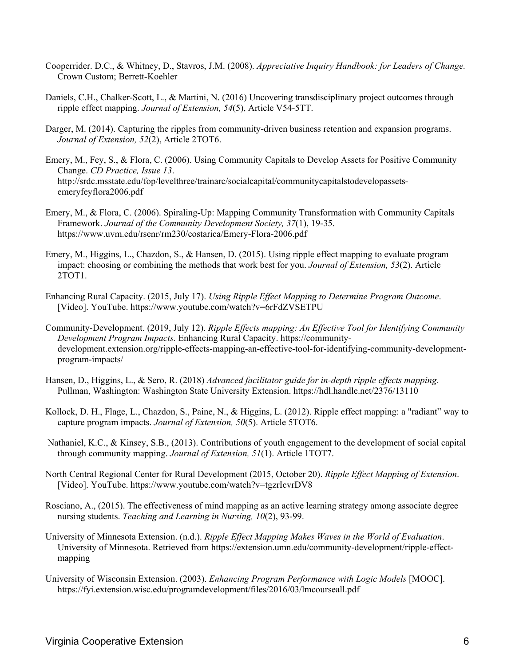- Cooperrider. D.C., & Whitney, D., Stavros, J.M. (2008). *Appreciative Inquiry Handbook: for Leaders of Change.*  Crown Custom; Berrett-Koehler
- Daniels, C.H., Chalker-Scott, L., & Martini, N. (2016) Uncovering transdisciplinary project outcomes through ripple effect mapping. *Journal of Extension, 54*(5), Article V54-5TT.
- Darger, M. (2014). Capturing the ripples from community-driven business retention and expansion programs. *Journal of Extension, 52*(2), Article 2TOT6.
- Emery, M., Fey, S., & Flora, C. (2006). Using Community Capitals to Develop Assets for Positive Community Change. *CD Practice, Issue 13*. http://srdc.msstate.edu/fop/levelthree/trainarc/socialcapital/communitycapitalstodevelopassetsemeryfeyflora2006.pdf
- Emery, M., & Flora, C. (2006). Spiraling-Up: Mapping Community Transformation with Community Capitals Framework. *Journal of the Community Development Society, 37*(1), 19-35. https://www.uvm.edu/rsenr/rm230/costarica/Emery-Flora-2006.pdf
- Emery, M., Higgins, L., Chazdon, S., & Hansen, D. (2015). Using ripple effect mapping to evaluate program impact: choosing or combining the methods that work best for you. *Journal of Extension, 53*(2). Article 2TOT1.
- Enhancing Rural Capacity. (2015, July 17). *Using Ripple Effect Mapping to Determine Program Outcome*. [Video]. YouTube. https://www.youtube.com/watch?v=6rFdZVSETPU
- Community-Development. (2019, July 12). *Ripple Effects mapping: An Effective Tool for Identifying Community Development Program Impacts.* Enhancing Rural Capacity. https://communitydevelopment.extension.org/ripple-effects-mapping-an-effective-tool-for-identifying-community-developmentprogram-impacts/
- Hansen, D., Higgins, L., & Sero, R. (2018) *Advanced facilitator guide for in-depth ripple effects mapping*. Pullman, Washington: Washington State University Extension. https://hdl.handle.net/2376/13110
- Kollock, D. H., Flage, L., Chazdon, S., Paine, N., & Higgins, L. (2012). Ripple effect mapping: a "radiant" way to capture program impacts. *Journal of Extension, 50*(5). Article 5TOT6.
- Nathaniel, K.C., & Kinsey, S.B., (2013). Contributions of youth engagement to the development of social capital through community mapping. *Journal of Extension, 51*(1). Article 1TOT7.
- North Central Regional Center for Rural Development (2015, October 20). *Ripple Effect Mapping of Extension*. [Video]. YouTube. https://www.youtube.com/watch?v=tgzrIcvrDV8
- Rosciano, A., (2015). The effectiveness of mind mapping as an active learning strategy among associate degree nursing students. *Teaching and Learning in Nursing, 10*(2), 93-99.
- University of Minnesota Extension. (n.d.). *Ripple Effect Mapping Makes Waves in the World of Evaluation*. University of Minnesota. Retrieved from https://extension.umn.edu/community-development/ripple-effectmapping
- University of Wisconsin Extension. (2003). *Enhancing Program Performance with Logic Models* [MOOC]. https://fyi.extension.wisc.edu/programdevelopment/files/2016/03/lmcourseall.pdf